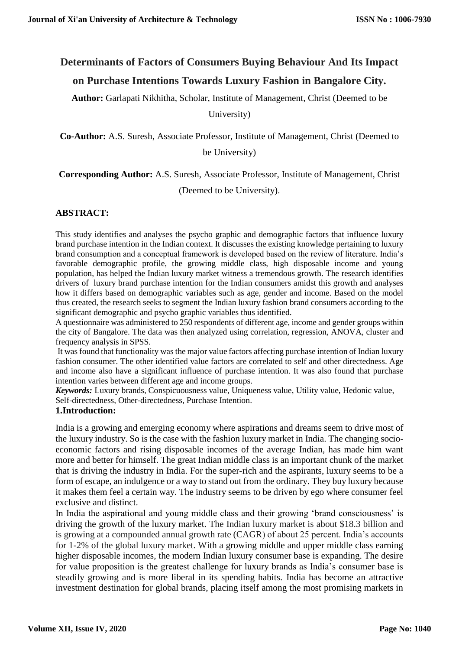# **Determinants of Factors of Consumers Buying Behaviour And Its Impact**

### **on Purchase Intentions Towards Luxury Fashion in Bangalore City.**

**Author:** Garlapati Nikhitha, Scholar, Institute of Management, Christ (Deemed to be

University)

**Co-Author:** A.S. Suresh, Associate Professor, Institute of Management, Christ (Deemed to

be University)

**Corresponding Author:** A.S. Suresh, Associate Professor, Institute of Management, Christ

(Deemed to be University).

### **ABSTRACT:**

This study identifies and analyses the psycho graphic and demographic factors that influence luxury brand purchase intention in the Indian context. It discusses the existing knowledge pertaining to luxury brand consumption and a conceptual framework is developed based on the review of literature. India's favorable demographic profile, the growing middle class, high disposable income and young population, has helped the Indian luxury market witness a tremendous growth. The research identifies drivers of luxury brand purchase intention for the Indian consumers amidst this growth and analyses how it differs based on demographic variables such as age, gender and income. Based on the model thus created, the research seeks to segment the Indian luxury fashion brand consumers according to the significant demographic and psycho graphic variables thus identified.

A questionnaire was administered to 250 respondents of different age, income and gender groups within the city of Bangalore. The data was then analyzed using correlation, regression, ANOVA, cluster and frequency analysis in SPSS.

It was found that functionality was the major value factors affecting purchase intention of Indian luxury fashion consumer. The other identified value factors are correlated to self and other directedness. Age and income also have a significant influence of purchase intention. It was also found that purchase intention varies between different age and income groups.

*Keywords:* Luxury brands, Conspicuousness value, Uniqueness value, Utility value, Hedonic value, Self-directedness, Other-directedness, Purchase Intention.

### **1.Introduction:**

India is a growing and emerging economy where aspirations and dreams seem to drive most of the luxury industry. So is the case with the fashion luxury market in India. The changing socioeconomic factors and rising disposable incomes of the average Indian, has made him want more and better for himself. The great Indian middle class is an important chunk of the market that is driving the industry in India. For the super-rich and the aspirants, luxury seems to be a form of escape, an indulgence or a way to stand out from the ordinary. They buy luxury because it makes them feel a certain way. The industry seems to be driven by ego where consumer feel exclusive and distinct.

In India the aspirational and young middle class and their growing 'brand consciousness' is driving the growth of the luxury market. The Indian luxury market is about \$18.3 billion and is growing at a compounded annual growth rate (CAGR) of about 25 percent. India's accounts for 1-2% of the global luxury market. With a growing middle and upper middle class earning higher disposable incomes, the modern Indian luxury consumer base is expanding. The desire for value proposition is the greatest challenge for luxury brands as India's consumer base is steadily growing and is more liberal in its spending habits. India has become an attractive investment destination for global brands, placing itself among the most promising markets in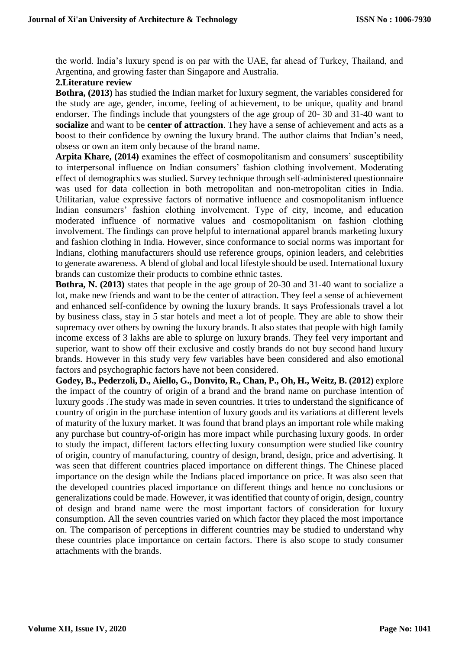the world. India's luxury spend is on par with the UAE, far ahead of Turkey, Thailand, and Argentina, and growing faster than Singapore and Australia.

### **2.Literature review**

**Bothra, (2013)** has studied the Indian market for luxury segment, the variables considered for the study are age, gender, income, feeling of achievement, to be unique, quality and brand endorser. The findings include that youngsters of the age group of 20- 30 and 31-40 want to **socialize** and want to be **center of attraction**. They have a sense of achievement and acts as a boost to their confidence by owning the luxury brand. The author claims that Indian's need, obsess or own an item only because of the brand name.

**Arpita Khare, (2014)** examines the effect of cosmopolitanism and consumers' susceptibility to interpersonal influence on Indian consumers' fashion clothing involvement. Moderating effect of demographics was studied. Survey technique through self-administered questionnaire was used for data collection in both metropolitan and non-metropolitan cities in India. Utilitarian, value expressive factors of normative influence and cosmopolitanism influence Indian consumers' fashion clothing involvement. Type of city, income, and education moderated influence of normative values and cosmopolitanism on fashion clothing involvement. The findings can prove helpful to international apparel brands marketing luxury and fashion clothing in India. However, since conformance to social norms was important for Indians, clothing manufacturers should use reference groups, opinion leaders, and celebrities to generate awareness. A blend of global and local lifestyle should be used. International luxury brands can customize their products to combine ethnic tastes.

**Bothra, N. (2013)** states that people in the age group of 20-30 and 31-40 want to socialize a lot, make new friends and want to be the center of attraction. They feel a sense of achievement and enhanced self-confidence by owning the luxury brands. It says Professionals travel a lot by business class, stay in 5 star hotels and meet a lot of people. They are able to show their supremacy over others by owning the luxury brands. It also states that people with high family income excess of 3 lakhs are able to splurge on luxury brands. They feel very important and superior, want to show off their exclusive and costly brands do not buy second hand luxury brands. However in this study very few variables have been considered and also emotional factors and psychographic factors have not been considered.

**Godey, B., Pederzoli, D., Aiello, G., Donvito, R., Chan, P., Oh, H., Weitz, B. (2012)** explore the impact of the country of origin of a brand and the brand name on purchase intention of luxury goods .The study was made in seven countries. It tries to understand the significance of country of origin in the purchase intention of luxury goods and its variations at different levels of maturity of the luxury market. It was found that brand plays an important role while making any purchase but country-of-origin has more impact while purchasing luxury goods. In order to study the impact, different factors effecting luxury consumption were studied like country of origin, country of manufacturing, country of design, brand, design, price and advertising. It was seen that different countries placed importance on different things. The Chinese placed importance on the design while the Indians placed importance on price. It was also seen that the developed countries placed importance on different things and hence no conclusions or generalizations could be made. However, it was identified that county of origin, design, country of design and brand name were the most important factors of consideration for luxury consumption. All the seven countries varied on which factor they placed the most importance on. The comparison of perceptions in different countries may be studied to understand why these countries place importance on certain factors. There is also scope to study consumer attachments with the brands.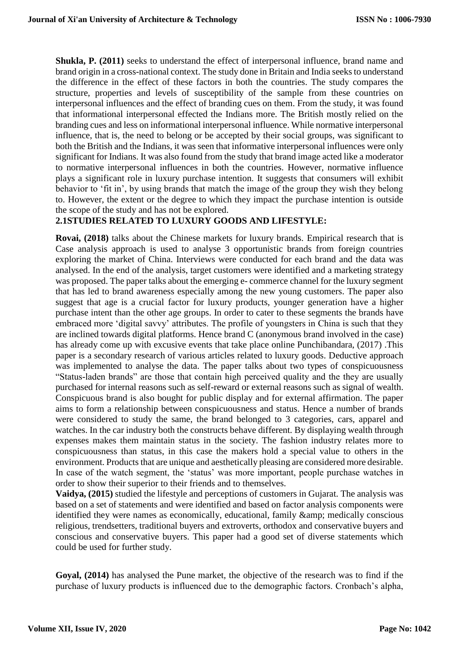**Shukla, P. (2011)** seeks to understand the effect of interpersonal influence, brand name and brand origin in a cross-national context. The study done in Britain and India seeks to understand the difference in the effect of these factors in both the countries. The study compares the structure, properties and levels of susceptibility of the sample from these countries on interpersonal influences and the effect of branding cues on them. From the study, it was found that informational interpersonal effected the Indians more. The British mostly relied on the branding cues and less on informational interpersonal influence. While normative interpersonal influence, that is, the need to belong or be accepted by their social groups, was significant to both the British and the Indians, it was seen that informative interpersonal influences were only significant for Indians. It was also found from the study that brand image acted like a moderator to normative interpersonal influences in both the countries. However, normative influence plays a significant role in luxury purchase intention. It suggests that consumers will exhibit behavior to 'fit in', by using brands that match the image of the group they wish they belong to. However, the extent or the degree to which they impact the purchase intention is outside the scope of the study and has not be explored.

### **2.1STUDIES RELATED TO LUXURY GOODS AND LIFESTYLE:**

**Rovai, (2018)** talks about the Chinese markets for luxury brands. Empirical research that is Case analysis approach is used to analyse 3 opportunistic brands from foreign countries exploring the market of China. Interviews were conducted for each brand and the data was analysed. In the end of the analysis, target customers were identified and a marketing strategy was proposed. The paper talks about the emerging e- commerce channel for the luxury segment that has led to brand awareness especially among the new young customers. The paper also suggest that age is a crucial factor for luxury products, younger generation have a higher purchase intent than the other age groups. In order to cater to these segments the brands have embraced more 'digital savvy' attributes. The profile of youngsters in China is such that they are inclined towards digital platforms. Hence brand C (anonymous brand involved in the case) has already come up with excusive events that take place online Punchibandara, (2017) .This paper is a secondary research of various articles related to luxury goods. Deductive approach was implemented to analyse the data. The paper talks about two types of conspicuousness "Status-laden brands" are those that contain high perceived quality and the they are usually purchased for internal reasons such as self-reward or external reasons such as signal of wealth. Conspicuous brand is also bought for public display and for external affirmation. The paper aims to form a relationship between conspicuousness and status. Hence a number of brands were considered to study the same, the brand belonged to 3 categories, cars, apparel and watches. In the car industry both the constructs behave different. By displaying wealth through expenses makes them maintain status in the society. The fashion industry relates more to conspicuousness than status, in this case the makers hold a special value to others in the environment. Products that are unique and aesthetically pleasing are considered more desirable. In case of the watch segment, the 'status' was more important, people purchase watches in order to show their superior to their friends and to themselves.

**Vaidya, (2015)** studied the lifestyle and perceptions of customers in Gujarat. The analysis was based on a set of statements and were identified and based on factor analysis components were identified they were names as economically, educational, family & amp; medically conscious religious, trendsetters, traditional buyers and extroverts, orthodox and conservative buyers and conscious and conservative buyers. This paper had a good set of diverse statements which could be used for further study.

**Goyal, (2014)** has analysed the Pune market, the objective of the research was to find if the purchase of luxury products is influenced due to the demographic factors. Cronbach's alpha,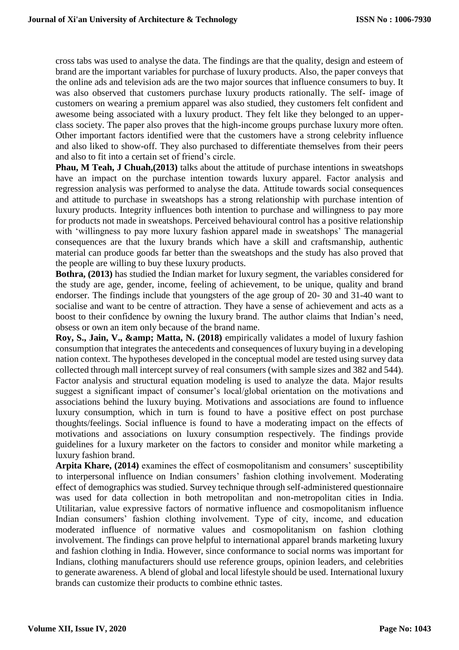cross tabs was used to analyse the data. The findings are that the quality, design and esteem of brand are the important variables for purchase of luxury products. Also, the paper conveys that the online ads and television ads are the two major sources that influence consumers to buy. It was also observed that customers purchase luxury products rationally. The self- image of customers on wearing a premium apparel was also studied, they customers felt confident and awesome being associated with a luxury product. They felt like they belonged to an upperclass society. The paper also proves that the high-income groups purchase luxury more often. Other important factors identified were that the customers have a strong celebrity influence and also liked to show-off. They also purchased to differentiate themselves from their peers and also to fit into a certain set of friend's circle.

**Phau, M Teah, J Chuah,(2013)** talks about the attitude of purchase intentions in sweatshops have an impact on the purchase intention towards luxury apparel. Factor analysis and regression analysis was performed to analyse the data. Attitude towards social consequences and attitude to purchase in sweatshops has a strong relationship with purchase intention of luxury products. Integrity influences both intention to purchase and willingness to pay more for products not made in sweatshops. Perceived behavioural control has a positive relationship with 'willingness to pay more luxury fashion apparel made in sweatshops' The managerial consequences are that the luxury brands which have a skill and craftsmanship, authentic material can produce goods far better than the sweatshops and the study has also proved that the people are willing to buy these luxury products.

**Bothra, (2013)** has studied the Indian market for luxury segment, the variables considered for the study are age, gender, income, feeling of achievement, to be unique, quality and brand endorser. The findings include that youngsters of the age group of 20- 30 and 31-40 want to socialise and want to be centre of attraction. They have a sense of achievement and acts as a boost to their confidence by owning the luxury brand. The author claims that Indian's need, obsess or own an item only because of the brand name.

Roy, S., Jain, V., & amp; Matta, N. (2018) empirically validates a model of luxury fashion consumption that integrates the antecedents and consequences of luxury buying in a developing nation context. The hypotheses developed in the conceptual model are tested using survey data collected through mall intercept survey of real consumers (with sample sizes and 382 and 544). Factor analysis and structural equation modeling is used to analyze the data. Major results suggest a significant impact of consumer's local/global orientation on the motivations and associations behind the luxury buying. Motivations and associations are found to influence luxury consumption, which in turn is found to have a positive effect on post purchase thoughts/feelings. Social influence is found to have a moderating impact on the effects of motivations and associations on luxury consumption respectively. The findings provide guidelines for a luxury marketer on the factors to consider and monitor while marketing a luxury fashion brand.

**Arpita Khare, (2014)** examines the effect of cosmopolitanism and consumers' susceptibility to interpersonal influence on Indian consumers' fashion clothing involvement. Moderating effect of demographics was studied. Survey technique through self-administered questionnaire was used for data collection in both metropolitan and non-metropolitan cities in India. Utilitarian, value expressive factors of normative influence and cosmopolitanism influence Indian consumers' fashion clothing involvement. Type of city, income, and education moderated influence of normative values and cosmopolitanism on fashion clothing involvement. The findings can prove helpful to international apparel brands marketing luxury and fashion clothing in India. However, since conformance to social norms was important for Indians, clothing manufacturers should use reference groups, opinion leaders, and celebrities to generate awareness. A blend of global and local lifestyle should be used. International luxury brands can customize their products to combine ethnic tastes.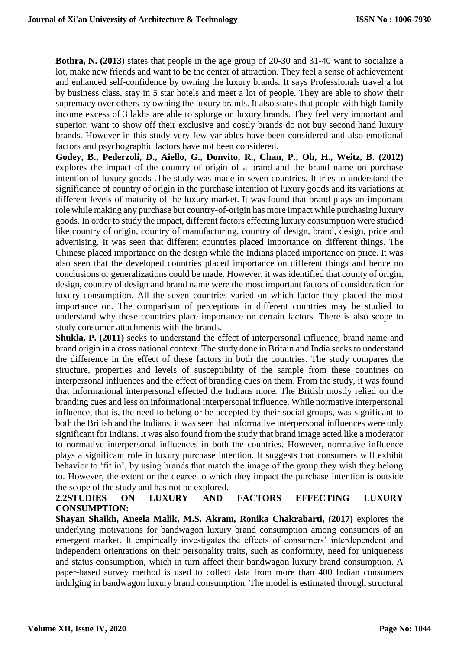**Bothra, N. (2013)** states that people in the age group of 20-30 and 31-40 want to socialize a lot, make new friends and want to be the center of attraction. They feel a sense of achievement and enhanced self-confidence by owning the luxury brands. It says Professionals travel a lot by business class, stay in 5 star hotels and meet a lot of people. They are able to show their supremacy over others by owning the luxury brands. It also states that people with high family income excess of 3 lakhs are able to splurge on luxury brands. They feel very important and superior, want to show off their exclusive and costly brands do not buy second hand luxury brands. However in this study very few variables have been considered and also emotional factors and psychographic factors have not been considered.

**Godey, B., Pederzoli, D., Aiello, G., Donvito, R., Chan, P., Oh, H., Weitz, B. (2012)**  explores the impact of the country of origin of a brand and the brand name on purchase intention of luxury goods .The study was made in seven countries. It tries to understand the significance of country of origin in the purchase intention of luxury goods and its variations at different levels of maturity of the luxury market. It was found that brand plays an important role while making any purchase but country-of-origin has more impact while purchasing luxury goods. In order to study the impact, different factors effecting luxury consumption were studied like country of origin, country of manufacturing, country of design, brand, design, price and advertising. It was seen that different countries placed importance on different things. The Chinese placed importance on the design while the Indians placed importance on price. It was also seen that the developed countries placed importance on different things and hence no conclusions or generalizations could be made. However, it was identified that county of origin, design, country of design and brand name were the most important factors of consideration for luxury consumption. All the seven countries varied on which factor they placed the most importance on. The comparison of perceptions in different countries may be studied to understand why these countries place importance on certain factors. There is also scope to study consumer attachments with the brands.

**Shukla, P. (2011)** seeks to understand the effect of interpersonal influence, brand name and brand origin in a cross national context. The study done in Britain and India seeks to understand the difference in the effect of these factors in both the countries. The study compares the structure, properties and levels of susceptibility of the sample from these countries on interpersonal influences and the effect of branding cues on them. From the study, it was found that informational interpersonal effected the Indians more. The British mostly relied on the branding cues and less on informational interpersonal influence. While normative interpersonal influence, that is, the need to belong or be accepted by their social groups, was significant to both the British and the Indians, it was seen that informative interpersonal influences were only significant for Indians. It was also found from the study that brand image acted like a moderator to normative interpersonal influences in both the countries. However, normative influence plays a significant role in luxury purchase intention. It suggests that consumers will exhibit behavior to 'fit in', by using brands that match the image of the group they wish they belong to. However, the extent or the degree to which they impact the purchase intention is outside the scope of the study and has not be explored.

### **2.2STUDIES ON LUXURY AND FACTORS EFFECTING LUXURY CONSUMPTION:**

**Shayan Shaikh, Aneela Malik, M.S. Akram, Ronika Chakrabarti, (2017)** explores the underlying motivations for bandwagon luxury brand consumption among consumers of an emergent market. It empirically investigates the effects of consumers' interdependent and independent orientations on their personality traits, such as conformity, need for uniqueness and status consumption, which in turn affect their bandwagon luxury brand consumption. A paper-based survey method is used to collect data from more than 400 Indian consumers indulging in bandwagon luxury brand consumption. The model is estimated through structural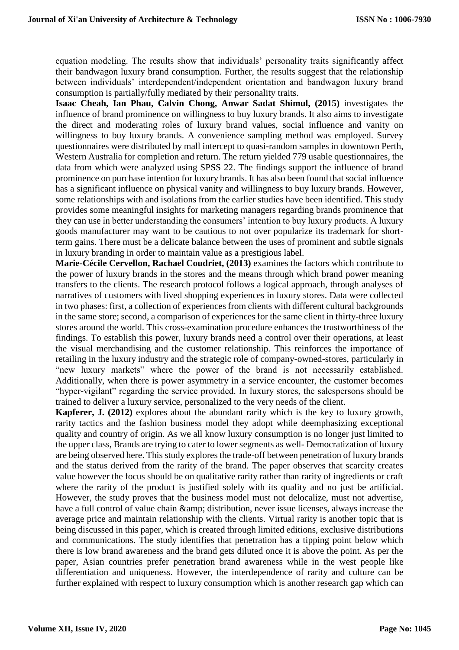equation modeling. The results show that individuals' personality traits significantly affect their bandwagon luxury brand consumption. Further, the results suggest that the relationship between individuals' interdependent/independent orientation and bandwagon luxury brand consumption is partially/fully mediated by their personality traits.

**Isaac Cheah, Ian Phau, Calvin Chong, Anwar Sadat Shimul, (2015)** investigates the influence of brand prominence on willingness to buy luxury brands. It also aims to investigate the direct and moderating roles of luxury brand values, social influence and vanity on willingness to buy luxury brands. A convenience sampling method was employed. Survey questionnaires were distributed by mall intercept to quasi-random samples in downtown Perth, Western Australia for completion and return. The return yielded 779 usable questionnaires, the data from which were analyzed using SPSS 22. The findings support the influence of brand prominence on purchase intention for luxury brands. It has also been found that social influence has a significant influence on physical vanity and willingness to buy luxury brands. However, some relationships with and isolations from the earlier studies have been identified. This study provides some meaningful insights for marketing managers regarding brands prominence that they can use in better understanding the consumers' intention to buy luxury products. A luxury goods manufacturer may want to be cautious to not over popularize its trademark for shortterm gains. There must be a delicate balance between the uses of prominent and subtle signals in luxury branding in order to maintain value as a prestigious label.

**Marie-Cécile Cervellon, Rachael Coudriet, (2013)** examines the factors which contribute to the power of luxury brands in the stores and the means through which brand power meaning transfers to the clients. The research protocol follows a logical approach, through analyses of narratives of customers with lived shopping experiences in luxury stores. Data were collected in two phases: first, a collection of experiences from clients with different cultural backgrounds in the same store; second, a comparison of experiences for the same client in thirty-three luxury stores around the world. This cross-examination procedure enhances the trustworthiness of the findings. To establish this power, luxury brands need a control over their operations, at least the visual merchandising and the customer relationship. This reinforces the importance of retailing in the luxury industry and the strategic role of company-owned-stores, particularly in "new luxury markets" where the power of the brand is not necessarily established. Additionally, when there is power asymmetry in a service encounter, the customer becomes "hyper-vigilant" regarding the service provided. In luxury stores, the salespersons should be trained to deliver a luxury service, personalized to the very needs of the client.

**Kapferer, J. (2012)** explores about the abundant rarity which is the key to luxury growth, rarity tactics and the fashion business model they adopt while deemphasizing exceptional quality and country of origin. As we all know luxury consumption is no longer just limited to the upper class, Brands are trying to cater to lower segments as well- Democratization of luxury are being observed here. This study explores the trade-off between penetration of luxury brands and the status derived from the rarity of the brand. The paper observes that scarcity creates value however the focus should be on qualitative rarity rather than rarity of ingredients or craft where the rarity of the product is justified solely with its quality and no just be artificial. However, the study proves that the business model must not delocalize, must not advertise, have a full control of value chain & amp; distribution, never issue licenses, always increase the average price and maintain relationship with the clients. Virtual rarity is another topic that is being discussed in this paper, which is created through limited editions, exclusive distributions and communications. The study identifies that penetration has a tipping point below which there is low brand awareness and the brand gets diluted once it is above the point. As per the paper, Asian countries prefer penetration brand awareness while in the west people like differentiation and uniqueness. However, the interdependence of rarity and culture can be further explained with respect to luxury consumption which is another research gap which can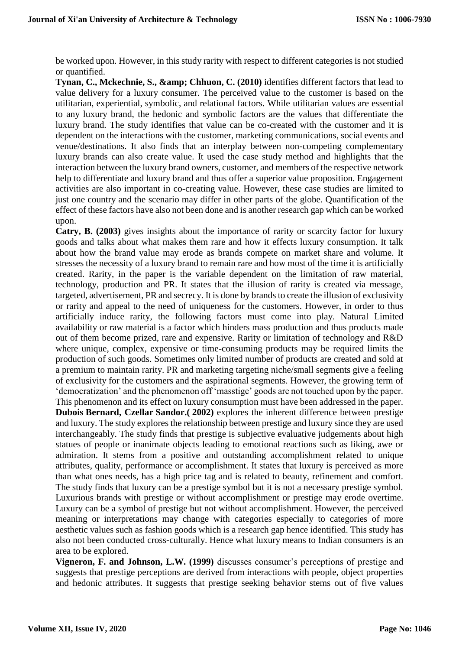be worked upon. However, in this study rarity with respect to different categories is not studied or quantified.

**Tynan, C., Mckechnie, S., & amp; Chhuon, C. (2010)** identifies different factors that lead to value delivery for a luxury consumer. The perceived value to the customer is based on the utilitarian, experiential, symbolic, and relational factors. While utilitarian values are essential to any luxury brand, the hedonic and symbolic factors are the values that differentiate the luxury brand. The study identifies that value can be co-created with the customer and it is dependent on the interactions with the customer, marketing communications, social events and venue/destinations. It also finds that an interplay between non-competing complementary luxury brands can also create value. It used the case study method and highlights that the interaction between the luxury brand owners, customer, and members of the respective network help to differentiate and luxury brand and thus offer a superior value proposition. Engagement activities are also important in co-creating value. However, these case studies are limited to just one country and the scenario may differ in other parts of the globe. Quantification of the effect of these factors have also not been done and is another research gap which can be worked upon.

**Catry, B. (2003)** gives insights about the importance of rarity or scarcity factor for luxury goods and talks about what makes them rare and how it effects luxury consumption. It talk about how the brand value may erode as brands compete on market share and volume. It stresses the necessity of a luxury brand to remain rare and how most of the time it is artificially created. Rarity, in the paper is the variable dependent on the limitation of raw material, technology, production and PR. It states that the illusion of rarity is created via message, targeted, advertisement, PR and secrecy. It is done by brands to create the illusion of exclusivity or rarity and appeal to the need of uniqueness for the customers. However, in order to thus artificially induce rarity, the following factors must come into play. Natural Limited availability or raw material is a factor which hinders mass production and thus products made out of them become prized, rare and expensive. Rarity or limitation of technology and R&D where unique, complex, expensive or time-consuming products may be required limits the production of such goods. Sometimes only limited number of products are created and sold at a premium to maintain rarity. PR and marketing targeting niche/small segments give a feeling of exclusivity for the customers and the aspirational segments. However, the growing term of 'democratization' and the phenomenon off 'masstige' goods are not touched upon by the paper. This phenomenon and its effect on luxury consumption must have been addressed in the paper. **Dubois Bernard, Czellar Sandor.( 2002)** explores the inherent difference between prestige and luxury. The study explores the relationship between prestige and luxury since they are used interchangeably. The study finds that prestige is subjective evaluative judgements about high statues of people or inanimate objects leading to emotional reactions such as liking, awe or admiration. It stems from a positive and outstanding accomplishment related to unique attributes, quality, performance or accomplishment. It states that luxury is perceived as more than what ones needs, has a high price tag and is related to beauty, refinement and comfort. The study finds that luxury can be a prestige symbol but it is not a necessary prestige symbol. Luxurious brands with prestige or without accomplishment or prestige may erode overtime. Luxury can be a symbol of prestige but not without accomplishment. However, the perceived meaning or interpretations may change with categories especially to categories of more aesthetic values such as fashion goods which is a research gap hence identified. This study has also not been conducted cross-culturally. Hence what luxury means to Indian consumers is an area to be explored.

**Vigneron, F. and Johnson, L.W. (1999)** discusses consumer's perceptions of prestige and suggests that prestige perceptions are derived from interactions with people, object properties and hedonic attributes. It suggests that prestige seeking behavior stems out of five values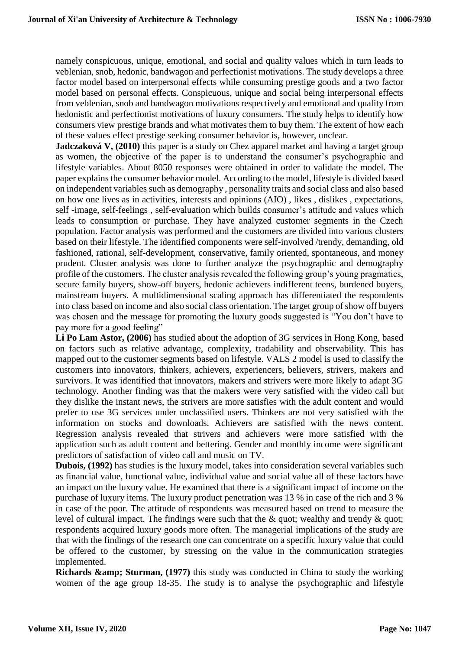namely conspicuous, unique, emotional, and social and quality values which in turn leads to veblenian, snob, hedonic, bandwagon and perfectionist motivations. The study develops a three factor model based on interpersonal effects while consuming prestige goods and a two factor model based on personal effects. Conspicuous, unique and social being interpersonal effects from veblenian, snob and bandwagon motivations respectively and emotional and quality from hedonistic and perfectionist motivations of luxury consumers. The study helps to identify how consumers view prestige brands and what motivates them to buy them. The extent of how each of these values effect prestige seeking consumer behavior is, however, unclear.

**Jadczaková V, (2010)** this paper is a study on Chez apparel market and having a target group as women, the objective of the paper is to understand the consumer's psychographic and lifestyle variables. About 8050 responses were obtained in order to validate the model. The paper explains the consumer behavior model. According to the model, lifestyle is divided based on independent variables such as demography , personality traits and social class and also based on how one lives as in activities, interests and opinions (AIO) , likes , dislikes , expectations, self -image, self-feelings , self-evaluation which builds consumer's attitude and values which leads to consumption or purchase. They have analyzed customer segments in the Czech population. Factor analysis was performed and the customers are divided into various clusters based on their lifestyle. The identified components were self-involved /trendy, demanding, old fashioned, rational, self-development, conservative, family oriented, spontaneous, and money prudent. Cluster analysis was done to further analyze the psychographic and demography profile of the customers. The cluster analysis revealed the following group's young pragmatics, secure family buyers, show-off buyers, hedonic achievers indifferent teens, burdened buyers, mainstream buyers. A multidimensional scaling approach has differentiated the respondents into class based on income and also social class orientation. The target group of show off buyers was chosen and the message for promoting the luxury goods suggested is "You don't have to pay more for a good feeling"

**Li Po Lam Astor, (2006)** has studied about the adoption of 3G services in Hong Kong, based on factors such as relative advantage, complexity, tradability and observability. This has mapped out to the customer segments based on lifestyle. VALS 2 model is used to classify the customers into innovators, thinkers, achievers, experiencers, believers, strivers, makers and survivors. It was identified that innovators, makers and strivers were more likely to adapt 3G technology. Another finding was that the makers were very satisfied with the video call but they dislike the instant news, the strivers are more satisfies with the adult content and would prefer to use 3G services under unclassified users. Thinkers are not very satisfied with the information on stocks and downloads. Achievers are satisfied with the news content. Regression analysis revealed that strivers and achievers were more satisfied with the application such as adult content and bettering. Gender and monthly income were significant predictors of satisfaction of video call and music on TV.

**Dubois, (1992)** has studies is the luxury model, takes into consideration several variables such as financial value, functional value, individual value and social value all of these factors have an impact on the luxury value. He examined that there is a significant impact of income on the purchase of luxury items. The luxury product penetration was 13 % in case of the rich and 3 % in case of the poor. The attitude of respondents was measured based on trend to measure the level of cultural impact. The findings were such that the & quot; wealthy and trendy & quot; respondents acquired luxury goods more often. The managerial implications of the study are that with the findings of the research one can concentrate on a specific luxury value that could be offered to the customer, by stressing on the value in the communication strategies implemented.

**Richards & Sturman, (1977)** this study was conducted in China to study the working women of the age group 18-35. The study is to analyse the psychographic and lifestyle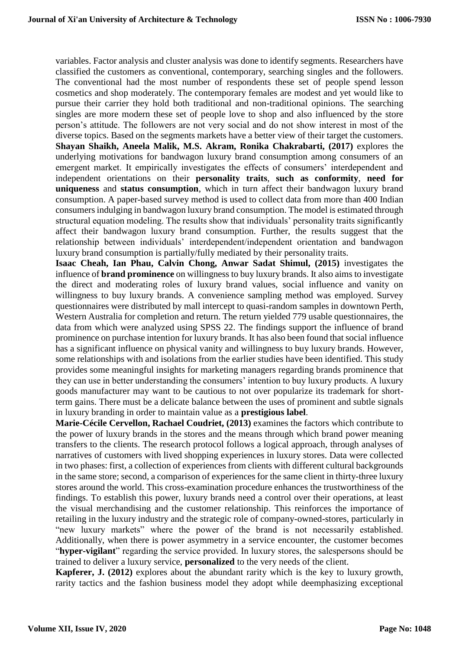variables. Factor analysis and cluster analysis was done to identify segments. Researchers have classified the customers as conventional, contemporary, searching singles and the followers. The conventional had the most number of respondents these set of people spend lesson cosmetics and shop moderately. The contemporary females are modest and yet would like to pursue their carrier they hold both traditional and non-traditional opinions. The searching singles are more modern these set of people love to shop and also influenced by the store person's attitude. The followers are not very social and do not show interest in most of the diverse topics. Based on the segments markets have a better view of their target the customers. **Shayan Shaikh, Aneela Malik, M.S. Akram, Ronika Chakrabarti, (2017)** explores the underlying motivations for bandwagon luxury brand consumption among consumers of an emergent market. It empirically investigates the effects of consumers' interdependent and independent orientations on their **personality traits**, **such as conformity**, **need for uniqueness** and **status consumption**, which in turn affect their bandwagon luxury brand consumption. A paper-based survey method is used to collect data from more than 400 Indian consumers indulging in bandwagon luxury brand consumption. The model is estimated through structural equation modeling. The results show that individuals' personality traits significantly affect their bandwagon luxury brand consumption. Further, the results suggest that the relationship between individuals' interdependent/independent orientation and bandwagon luxury brand consumption is partially/fully mediated by their personality traits.

**Isaac Cheah, Ian Phau, Calvin Chong, Anwar Sadat Shimul, (2015)** investigates the influence of **brand prominence** on willingness to buy luxury brands. It also aims to investigate the direct and moderating roles of luxury brand values, social influence and vanity on willingness to buy luxury brands. A convenience sampling method was employed. Survey questionnaires were distributed by mall intercept to quasi-random samples in downtown Perth, Western Australia for completion and return. The return yielded 779 usable questionnaires, the data from which were analyzed using SPSS 22. The findings support the influence of brand prominence on purchase intention for luxury brands. It has also been found that social influence has a significant influence on physical vanity and willingness to buy luxury brands. However, some relationships with and isolations from the earlier studies have been identified. This study provides some meaningful insights for marketing managers regarding brands prominence that they can use in better understanding the consumers' intention to buy luxury products. A luxury goods manufacturer may want to be cautious to not over popularize its trademark for shortterm gains. There must be a delicate balance between the uses of prominent and subtle signals in luxury branding in order to maintain value as a **prestigious label**.

**Marie-Cécile Cervellon, Rachael Coudriet, (2013)** examines the factors which contribute to the power of luxury brands in the stores and the means through which brand power meaning transfers to the clients. The research protocol follows a logical approach, through analyses of narratives of customers with lived shopping experiences in luxury stores. Data were collected in two phases: first, a collection of experiences from clients with different cultural backgrounds in the same store; second, a comparison of experiences for the same client in thirty-three luxury stores around the world. This cross-examination procedure enhances the trustworthiness of the findings. To establish this power, luxury brands need a control over their operations, at least the visual merchandising and the customer relationship. This reinforces the importance of retailing in the luxury industry and the strategic role of company-owned-stores, particularly in "new luxury markets" where the power of the brand is not necessarily established. Additionally, when there is power asymmetry in a service encounter, the customer becomes "**hyper-vigilant**" regarding the service provided. In luxury stores, the salespersons should be trained to deliver a luxury service, **personalized** to the very needs of the client.

**Kapferer, J. (2012)** explores about the abundant rarity which is the key to luxury growth, rarity tactics and the fashion business model they adopt while deemphasizing exceptional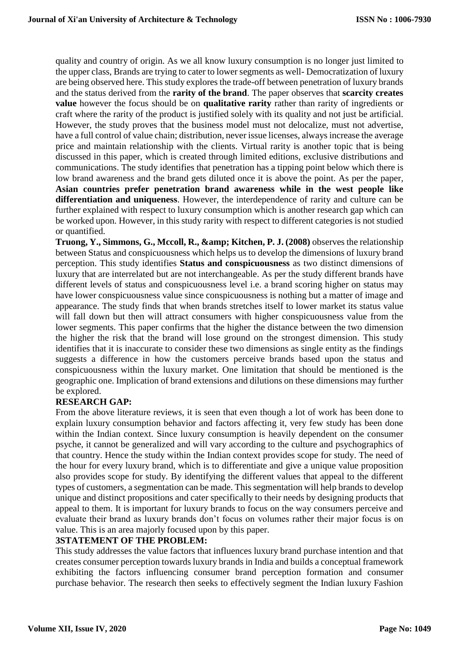quality and country of origin. As we all know luxury consumption is no longer just limited to the upper class, Brands are trying to cater to lower segments as well- Democratization of luxury are being observed here. This study explores the trade-off between penetration of luxury brands and the status derived from the **rarity of the brand**. The paper observes that **scarcity creates value** however the focus should be on **qualitative rarity** rather than rarity of ingredients or craft where the rarity of the product is justified solely with its quality and not just be artificial. However, the study proves that the business model must not delocalize, must not advertise, have a full control of value chain; distribution, never issue licenses, always increase the average price and maintain relationship with the clients. Virtual rarity is another topic that is being discussed in this paper, which is created through limited editions, exclusive distributions and communications. The study identifies that penetration has a tipping point below which there is low brand awareness and the brand gets diluted once it is above the point. As per the paper, **Asian countries prefer penetration brand awareness while in the west people like differentiation and uniqueness**. However, the interdependence of rarity and culture can be further explained with respect to luxury consumption which is another research gap which can be worked upon. However, in this study rarity with respect to different categories is not studied or quantified.

**Truong, Y., Simmons, G., Mccoll, R., & amp; Kitchen, P. J. (2008)** observes the relationship between Status and conspicuousness which helps us to develop the dimensions of luxury brand perception. This study identifies **Status and conspicuousness** as two distinct dimensions of luxury that are interrelated but are not interchangeable. As per the study different brands have different levels of status and conspicuousness level i.e. a brand scoring higher on status may have lower conspicuousness value since conspicuousness is nothing but a matter of image and appearance. The study finds that when brands stretches itself to lower market its status value will fall down but then will attract consumers with higher conspicuousness value from the lower segments. This paper confirms that the higher the distance between the two dimension the higher the risk that the brand will lose ground on the strongest dimension. This study identifies that it is inaccurate to consider these two dimensions as single entity as the findings suggests a difference in how the customers perceive brands based upon the status and conspicuousness within the luxury market. One limitation that should be mentioned is the geographic one. Implication of brand extensions and dilutions on these dimensions may further be explored.

### **RESEARCH GAP:**

From the above literature reviews, it is seen that even though a lot of work has been done to explain luxury consumption behavior and factors affecting it, very few study has been done within the Indian context. Since luxury consumption is heavily dependent on the consumer psyche, it cannot be generalized and will vary according to the culture and psychographics of that country. Hence the study within the Indian context provides scope for study. The need of the hour for every luxury brand, which is to differentiate and give a unique value proposition also provides scope for study. By identifying the different values that appeal to the different types of customers, a segmentation can be made. This segmentation will help brands to develop unique and distinct propositions and cater specifically to their needs by designing products that appeal to them. It is important for luxury brands to focus on the way consumers perceive and evaluate their brand as luxury brands don't focus on volumes rather their major focus is on value. This is an area majorly focused upon by this paper.

### **3STATEMENT OF THE PROBLEM:**

This study addresses the value factors that influences luxury brand purchase intention and that creates consumer perception towards luxury brands in India and builds a conceptual framework exhibiting the factors influencing consumer brand perception formation and consumer purchase behavior. The research then seeks to effectively segment the Indian luxury Fashion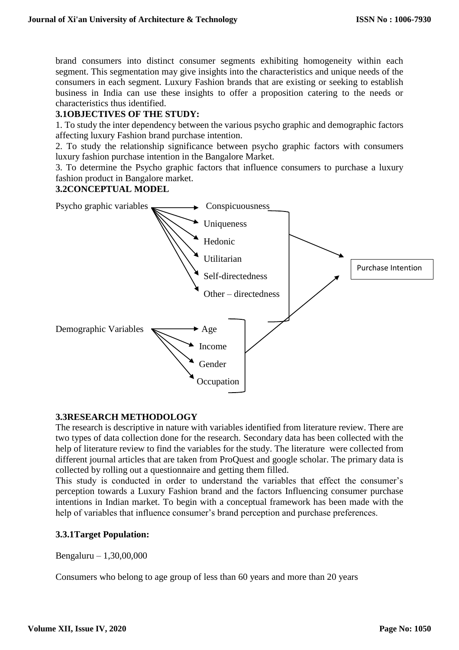brand consumers into distinct consumer segments exhibiting homogeneity within each segment. This segmentation may give insights into the characteristics and unique needs of the consumers in each segment. Luxury Fashion brands that are existing or seeking to establish business in India can use these insights to offer a proposition catering to the needs or characteristics thus identified.

### **3.1OBJECTIVES OF THE STUDY:**

1. To study the inter dependency between the various psycho graphic and demographic factors affecting luxury Fashion brand purchase intention.

2. To study the relationship significance between psycho graphic factors with consumers luxury fashion purchase intention in the Bangalore Market.

3. To determine the Psycho graphic factors that influence consumers to purchase a luxury fashion product in Bangalore market.

### **3.2CONCEPTUAL MODEL**



### **3.3RESEARCH METHODOLOGY**

The research is descriptive in nature with variables identified from literature review. There are two types of data collection done for the research. Secondary data has been collected with the help of literature review to find the variables for the study. The literature were collected from different journal articles that are taken from ProQuest and google scholar. The primary data is collected by rolling out a questionnaire and getting them filled.

This study is conducted in order to understand the variables that effect the consumer's perception towards a Luxury Fashion brand and the factors Influencing consumer purchase intentions in Indian market. To begin with a conceptual framework has been made with the help of variables that influence consumer's brand perception and purchase preferences.

### **3.3.1Target Population:**

Bengaluru – 1,30,00,000

Consumers who belong to age group of less than 60 years and more than 20 years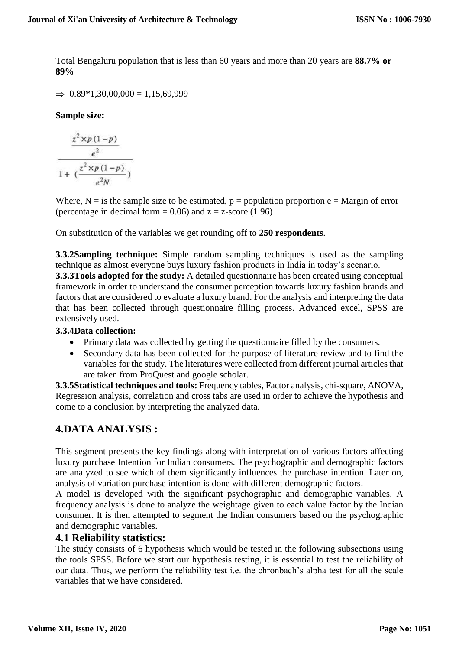Total Bengaluru population that is less than 60 years and more than 20 years are **88.7% or 89%**

 $\Rightarrow$  0.89\*1,30,00,000 = 1,15,69,999

**Sample size:**

$$
\frac{z^2 \times p(1-p)}{e^2}
$$
\n
$$
1 + (\frac{z^2 \times p(1-p)}{e^2 N})
$$

Where,  $N = i$  s the sample size to be estimated,  $p = population$  proportion  $e = Margin$  of error (percentage in decimal form  $= 0.06$ ) and  $z = z$ -score (1.96)

On substitution of the variables we get rounding off to **250 respondents**.

**3.3.2Sampling technique:** Simple random sampling techniques is used as the sampling technique as almost everyone buys luxury fashion products in India in today's scenario.

**3.3.3Tools adopted for the study:** A detailed questionnaire has been created using conceptual framework in order to understand the consumer perception towards luxury fashion brands and factors that are considered to evaluate a luxury brand. For the analysis and interpreting the data that has been collected through questionnaire filling process. Advanced excel, SPSS are extensively used.

### **3.3.4Data collection:**

- Primary data was collected by getting the questionnaire filled by the consumers.
- Secondary data has been collected for the purpose of literature review and to find the variables for the study. The literatures were collected from different journal articles that are taken from ProQuest and google scholar.

**3.3.5Statistical techniques and tools:** Frequency tables, Factor analysis, chi-square, ANOVA, Regression analysis, correlation and cross tabs are used in order to achieve the hypothesis and come to a conclusion by interpreting the analyzed data.

### **4.DATA ANALYSIS :**

This segment presents the key findings along with interpretation of various factors affecting luxury purchase Intention for Indian consumers. The psychographic and demographic factors are analyzed to see which of them significantly influences the purchase intention. Later on, analysis of variation purchase intention is done with different demographic factors.

A model is developed with the significant psychographic and demographic variables. A frequency analysis is done to analyze the weightage given to each value factor by the Indian consumer. It is then attempted to segment the Indian consumers based on the psychographic and demographic variables.

### **4.1 Reliability statistics:**

The study consists of 6 hypothesis which would be tested in the following subsections using the tools SPSS. Before we start our hypothesis testing, it is essential to test the reliability of our data. Thus, we perform the reliability test i.e. the chronbach's alpha test for all the scale variables that we have considered.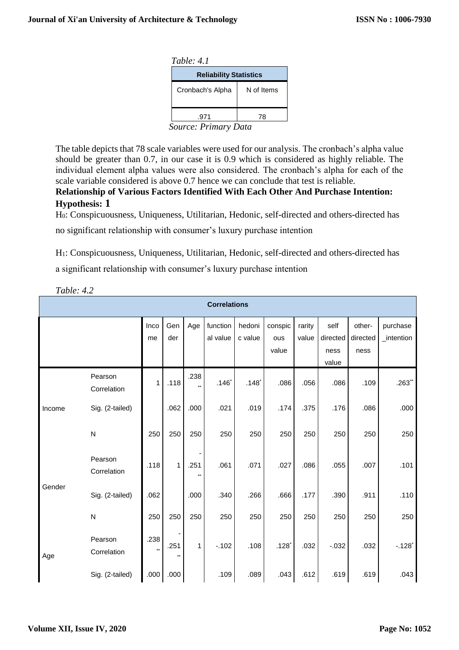| Table: $4.1$                                      |  |  |  |
|---------------------------------------------------|--|--|--|
| <b>Reliability Statistics</b>                     |  |  |  |
| Cronbach's Alpha                                  |  |  |  |
|                                                   |  |  |  |
| $S_{\alpha\mu\nu\rho\sigma\sigma}$ , Driman, Data |  |  |  |

 *Source: Primary Data*

The table depicts that 78 scale variables were used for our analysis. The cronbach's alpha value should be greater than 0.7, in our case it is 0.9 which is considered as highly reliable. The individual element alpha values were also considered. The cronbach's alpha for each of the scale variable considered is above 0.7 hence we can conclude that test is reliable.

**Relationship of Various Factors Identified With Each Other And Purchase Intention: Hypothesis: 1**

H0: Conspicuousness, Uniqueness, Utilitarian, Hedonic, self-directed and others-directed has

no significant relationship with consumer's luxury purchase intention

H1: Conspicuousness, Uniqueness, Utilitarian, Hedonic, self-directed and others-directed has

a significant relationship with consumer's luxury purchase intention

| <b>Correlations</b> |                        |            |            |      |                      |                     |                     |                 |                  |                    |                        |
|---------------------|------------------------|------------|------------|------|----------------------|---------------------|---------------------|-----------------|------------------|--------------------|------------------------|
|                     |                        | Inco<br>me | Gen<br>der | Age  | function<br>al value | hedoni<br>c value   | conspic<br>ous      | rarity<br>value | self<br>directed | other-<br>directed | purchase<br>_intention |
|                     |                        |            |            |      |                      |                     | value               |                 | ness<br>value    | ness               |                        |
| Income              | Pearson<br>Correlation | 1          | .118       | .238 | $.146*$              | $.148$ <sup>*</sup> | .086                | .056            | .086             | .109               | $.263**$               |
|                     | Sig. (2-tailed)        |            | .062       | .000 | .021                 | .019                | .174                | .375            | .176             | .086               | .000                   |
|                     | $\mathsf{N}$           | 250        | 250        | 250  | 250                  | 250                 | 250                 | 250             | 250              | 250                | 250                    |
|                     | Pearson<br>Correlation | .118       | 1          | .251 | .061                 | .071                | .027                | .086            | .055             | .007               | .101                   |
| Gender              | Sig. (2-tailed)        | .062       |            | .000 | .340                 | .266                | .666                | .177            | .390             | .911               | .110                   |
|                     | ${\sf N}$              | 250        | 250        | 250  | 250                  | 250                 | 250                 | 250             | 250              | 250                | 250                    |
| Age                 | Pearson<br>Correlation | .238       | .251       | 1.   | $-.102$              | .108                | $.128$ <sup>*</sup> | .032            | $-0.032$         | .032               | $-128$ <sup>*</sup>    |
|                     | Sig. (2-tailed)        | .000       | .000       |      | .109                 | .089                | .043                | .612            | .619             | .619               | .043                   |

*Table: 4.2*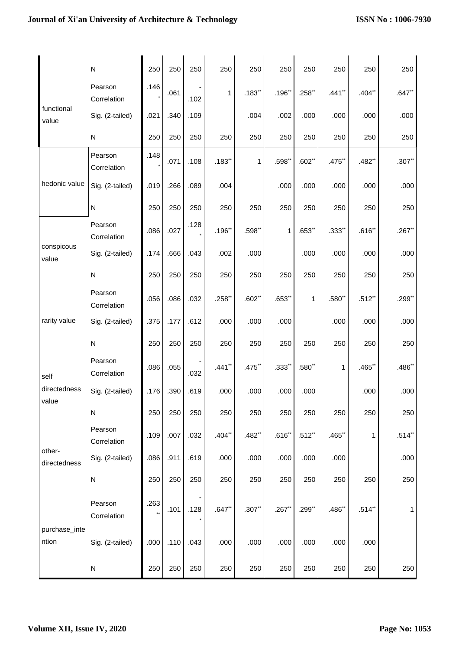|                        | ${\sf N}$              | 250  | 250  | 250  | 250       | 250                  | 250                 | 250       | 250       | 250       | 250      |
|------------------------|------------------------|------|------|------|-----------|----------------------|---------------------|-----------|-----------|-----------|----------|
|                        | Pearson<br>Correlation | .146 | .061 | .102 | 1         | $.183**$             | .196                | $.258$ ** | $.441**$  | $.404**$  | $.647**$ |
| functional<br>value    | Sig. (2-tailed)        | .021 | .340 | .109 |           | .004                 | .002                | .000      | .000      | .000      | .000     |
|                        | ${\sf N}$              | 250  | 250  | 250  | 250       | 250                  | 250                 | 250       | 250       | 250       | 250      |
|                        | Pearson<br>Correlation | .148 | .071 | .108 | .183"     | 1                    | $.598*$             | $.602**$  | $.475$ ** | $.482**$  | $.307**$ |
| hedonic value          | Sig. (2-tailed)        | .019 | .266 | .089 | .004      |                      | .000                | .000      | .000      | .000      | .000     |
|                        | ${\sf N}$              | 250  | 250  | 250  | 250       | 250                  | 250                 | 250       | 250       | 250       | 250      |
|                        | Pearson<br>Correlation | .086 | .027 | .128 | $.196$ ** | .598**               | $\mathbf{1}$        | $.653**$  | $.333**$  | .616"     | .267     |
| conspicous<br>value    | Sig. (2-tailed)        | .174 | .666 | .043 | .002      | .000                 |                     | .000      | .000      | .000      | .000     |
|                        | ${\sf N}$              | 250  | 250  | 250  | 250       | 250                  | 250                 | 250       | 250       | 250       | 250      |
|                        | Pearson<br>Correlation | .056 | .086 | .032 | $.258$ ** | $.602**$             | $.653$ **           | 1         | $.580**$  | $.512$ ** | $.299**$ |
| rarity value           | Sig. (2-tailed)        | .375 | .177 | .612 | .000      | .000                 | .000                |           | .000      | .000      | .000     |
|                        | ${\sf N}$              | 250  | 250  | 250  | 250       | 250                  | 250                 | 250       | 250       | 250       | 250      |
| self                   | Pearson<br>Correlation | .086 | .055 | .032 | $.441**$  | .475                 | $.333$ <sup>*</sup> | $.580$ ** | 1         | $.465$ ** | .486"    |
| directedness<br>value  | Sig. (2-tailed)        | .176 | .390 | .619 | .000      | .000                 | .000                | .000      |           | .000      | .000     |
|                        | ${\sf N}$              | 250  | 250  | 250  | 250       | 250                  | 250                 | 250       | 250       | 250       | 250      |
|                        | Pearson<br>Correlation | .109 | .007 | .032 | $.404**$  | $.482$ <sup>**</sup> | $.616$ *            | $.512**$  | .465      | 1         | $.514**$ |
| other-<br>directedness | Sig. (2-tailed)        | .086 | .911 | .619 | .000      | .000                 | .000                | .000      | .000      |           | .000     |
|                        | ${\sf N}$              | 250  | 250  | 250  | 250       | 250                  | 250                 | 250       | 250       | 250       | 250      |
|                        | Pearson<br>Correlation | .263 | .101 | .128 | $.647**$  | $.307**$             | .267                | .299**    | $.486$ ** | $.514**$  | 1        |
| purchase_inte<br>ntion | Sig. (2-tailed)        | .000 | .110 | .043 | .000      | .000                 | .000                | .000      | .000      | .000      |          |
|                        | ${\sf N}$              | 250  | 250  | 250  | 250       | 250                  | 250                 | 250       | 250       | 250       | 250      |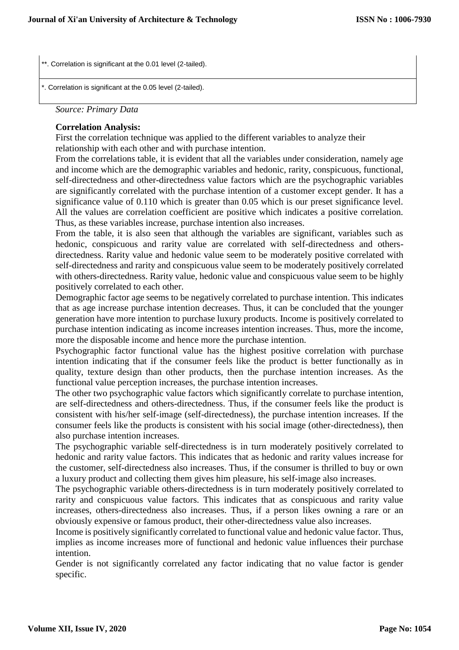\*\*. Correlation is significant at the 0.01 level (2-tailed).

\*. Correlation is significant at the 0.05 level (2-tailed).

*Source: Primary Data*

l

#### **Correlation Analysis:**

First the correlation technique was applied to the different variables to analyze their relationship with each other and with purchase intention.

From the correlations table, it is evident that all the variables under consideration, namely age and income which are the demographic variables and hedonic, rarity, conspicuous, functional, self-directedness and other-directedness value factors which are the psychographic variables are significantly correlated with the purchase intention of a customer except gender. It has a significance value of 0.110 which is greater than 0.05 which is our preset significance level. All the values are correlation coefficient are positive which indicates a positive correlation. Thus, as these variables increase, purchase intention also increases.

From the table, it is also seen that although the variables are significant, variables such as hedonic, conspicuous and rarity value are correlated with self-directedness and othersdirectedness. Rarity value and hedonic value seem to be moderately positive correlated with self-directedness and rarity and conspicuous value seem to be moderately positively correlated with others-directedness. Rarity value, hedonic value and conspicuous value seem to be highly positively correlated to each other.

Demographic factor age seems to be negatively correlated to purchase intention. This indicates that as age increase purchase intention decreases. Thus, it can be concluded that the younger generation have more intention to purchase luxury products. Income is positively correlated to purchase intention indicating as income increases intention increases. Thus, more the income, more the disposable income and hence more the purchase intention.

Psychographic factor functional value has the highest positive correlation with purchase intention indicating that if the consumer feels like the product is better functionally as in quality, texture design than other products, then the purchase intention increases. As the functional value perception increases, the purchase intention increases.

The other two psychographic value factors which significantly correlate to purchase intention, are self-directedness and others-directedness. Thus, if the consumer feels like the product is consistent with his/her self-image (self-directedness), the purchase intention increases. If the consumer feels like the products is consistent with his social image (other-directedness), then also purchase intention increases.

The psychographic variable self-directedness is in turn moderately positively correlated to hedonic and rarity value factors. This indicates that as hedonic and rarity values increase for the customer, self-directedness also increases. Thus, if the consumer is thrilled to buy or own a luxury product and collecting them gives him pleasure, his self-image also increases.

The psychographic variable others-directedness is in turn moderately positively correlated to rarity and conspicuous value factors. This indicates that as conspicuous and rarity value increases, others-directedness also increases. Thus, if a person likes owning a rare or an obviously expensive or famous product, their other-directedness value also increases.

Income is positively significantly correlated to functional value and hedonic value factor. Thus, implies as income increases more of functional and hedonic value influences their purchase intention.

Gender is not significantly correlated any factor indicating that no value factor is gender specific.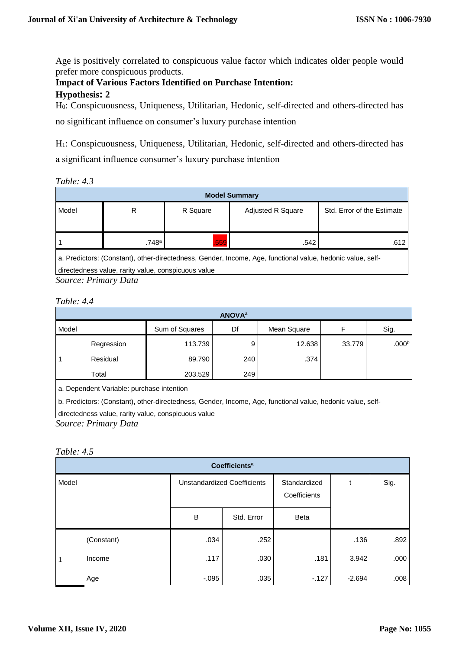Age is positively correlated to conspicuous value factor which indicates older people would prefer more conspicuous products.

## **Impact of Various Factors Identified on Purchase Intention:**

### **Hypothesis: 2**

H0: Conspicuousness, Uniqueness, Utilitarian, Hedonic, self-directed and others-directed has

no significant influence on consumer's luxury purchase intention

H1: Conspicuousness, Uniqueness, Utilitarian, Hedonic, self-directed and others-directed has a significant influence consumer's luxury purchase intention

*Table: 4.3*

| <b>Model Summary</b> |                                                         |                      |                   |                            |  |  |  |  |  |
|----------------------|---------------------------------------------------------|----------------------|-------------------|----------------------------|--|--|--|--|--|
| Model                | R                                                       | R Square             | Adjusted R Square | Std. Error of the Estimate |  |  |  |  |  |
|                      | .748a                                                   | 559                  | .542              | .612                       |  |  |  |  |  |
| .                    | $\sim$ $\sim$ $\sim$ $\sim$ $\sim$ $\sim$ $\sim$ $\sim$ | $\sim$ $\sim$ $\sim$ | .                 | $\overline{\phantom{a}}$   |  |  |  |  |  |

a. Predictors: (Constant), other-directedness, Gender, Income, Age, functional value, hedonic value, self-

directedness value, rarity value, conspicuous value

*Source: Primary Data*

| Table: 4.4 |  |
|------------|--|
|------------|--|

| <b>ANOVA</b> <sup>a</sup> |            |                |     |             |        |                   |  |  |  |
|---------------------------|------------|----------------|-----|-------------|--------|-------------------|--|--|--|
| Model                     |            | Sum of Squares | Df  | Mean Square | F      | Sig.              |  |  |  |
|                           | Regression | 113.739        |     | 12.638      | 33.779 | .000 <sup>b</sup> |  |  |  |
|                           | Residual   | 89.790         | 240 | .374        |        |                   |  |  |  |
|                           | Total      | 203.529        | 249 |             |        |                   |  |  |  |

a. Dependent Variable: purchase intention

b. Predictors: (Constant), other-directedness, Gender, Income, Age, functional value, hedonic value, self-

directedness value, rarity value, conspicuous value

*Source: Primary Data*

### *Table: 4.5*

| <b>Coefficients<sup>a</sup></b> |            |                                    |            |                              |          |      |  |  |  |
|---------------------------------|------------|------------------------------------|------------|------------------------------|----------|------|--|--|--|
| Model                           |            | <b>Unstandardized Coefficients</b> |            | Standardized<br>Coefficients |          | Sig. |  |  |  |
|                                 |            | B                                  | Std. Error | Beta                         |          |      |  |  |  |
|                                 | (Constant) | .034                               | .252       |                              | .136     | .892 |  |  |  |
| 1                               | Income     | .117                               | .030       | .181                         | 3.942    | .000 |  |  |  |
|                                 | Age        | $-.095$                            | .035       | $-127$                       | $-2.694$ | .008 |  |  |  |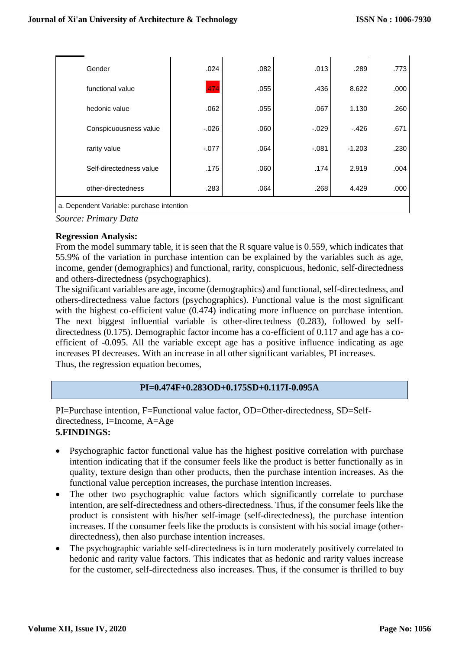| Gender                                    | .024     | .082 | .013     | .289     | .773 |  |  |
|-------------------------------------------|----------|------|----------|----------|------|--|--|
| functional value                          | .474     | .055 | .436     | 8.622    | .000 |  |  |
| hedonic value                             | .062     | .055 | .067     | 1.130    | .260 |  |  |
| Conspicuousness value                     | $-0.026$ | .060 | $-0.029$ | $-.426$  | .671 |  |  |
| rarity value                              | $-.077$  | .064 | $-0.081$ | $-1.203$ | .230 |  |  |
| Self-directedness value                   | .175     | .060 | .174     | 2.919    | .004 |  |  |
| other-directedness                        | .283     | .064 | .268     | 4.429    | .000 |  |  |
| a. Dependent Variable: purchase intention |          |      |          |          |      |  |  |

*Source: Primary Data*

#### **Regression Analysis:**

From the model summary table, it is seen that the R square value is 0.559, which indicates that 55.9% of the variation in purchase intention can be explained by the variables such as age, income, gender (demographics) and functional, rarity, conspicuous, hedonic, self-directedness and others-directedness (psychographics).

The significant variables are age, income (demographics) and functional, self-directedness, and others-directedness value factors (psychographics). Functional value is the most significant with the highest co-efficient value (0.474) indicating more influence on purchase intention. The next biggest influential variable is other-directedness (0.283), followed by selfdirectedness (0.175). Demographic factor income has a co-efficient of 0.117 and age has a coefficient of -0.095. All the variable except age has a positive influence indicating as age increases PI decreases. With an increase in all other significant variables, PI increases. Thus, the regression equation becomes,

### **PI=0.474F+0.283OD+0.175SD+0.117I-0.095A**

PI=Purchase intention, F=Functional value factor, OD=Other-directedness, SD=Selfdirectedness, I=Income, A=Age **5.FINDINGS:**

- Psychographic factor functional value has the highest positive correlation with purchase intention indicating that if the consumer feels like the product is better functionally as in quality, texture design than other products, then the purchase intention increases. As the functional value perception increases, the purchase intention increases.
- The other two psychographic value factors which significantly correlate to purchase intention, are self-directedness and others-directedness. Thus, if the consumer feels like the product is consistent with his/her self-image (self-directedness), the purchase intention increases. If the consumer feels like the products is consistent with his social image (otherdirectedness), then also purchase intention increases.
- The psychographic variable self-directedness is in turn moderately positively correlated to hedonic and rarity value factors. This indicates that as hedonic and rarity values increase for the customer, self-directedness also increases. Thus, if the consumer is thrilled to buy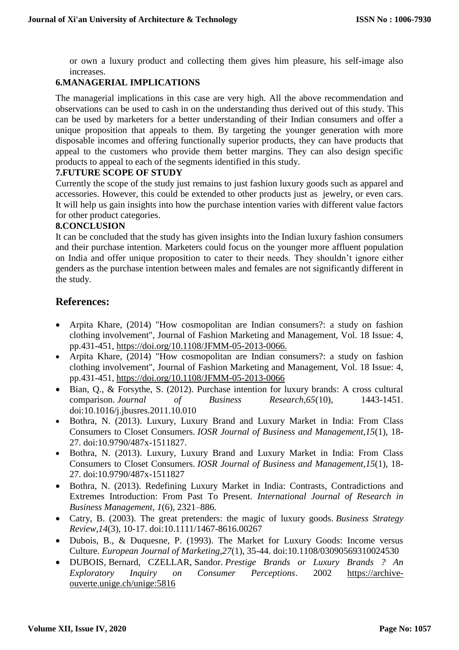or own a luxury product and collecting them gives him pleasure, his self-image also increases.

### **6.MANAGERIAL IMPLICATIONS**

The managerial implications in this case are very high. All the above recommendation and observations can be used to cash in on the understanding thus derived out of this study. This can be used by marketers for a better understanding of their Indian consumers and offer a unique proposition that appeals to them. By targeting the younger generation with more disposable incomes and offering functionally superior products, they can have products that appeal to the customers who provide them better margins. They can also design specific products to appeal to each of the segments identified in this study.

### **7.FUTURE SCOPE OF STUDY**

Currently the scope of the study just remains to just fashion luxury goods such as apparel and accessories. However, this could be extended to other products just as jewelry, or even cars. It will help us gain insights into how the purchase intention varies with different value factors for other product categories.

### **8.CONCLUSION**

It can be concluded that the study has given insights into the Indian luxury fashion consumers and their purchase intention. Marketers could focus on the younger more affluent population on India and offer unique proposition to cater to their needs. They shouldn't ignore either genders as the purchase intention between males and females are not significantly different in the study.

### **References:**

- Arpita Khare, (2014) "How cosmopolitan are Indian consumers?: a study on fashion clothing involvement", Journal of Fashion Marketing and Management, Vol. 18 Issue: 4, pp.431-451, [https://doi.org/10.1108/JFMM-05-2013-0066.](https://doi.org/10.1108/JFMM-05-2013-0066)
- Arpita Khare, (2014) "How cosmopolitan are Indian consumers?: a study on fashion clothing involvement", Journal of Fashion Marketing and Management, Vol. 18 Issue: 4, pp.431-451,<https://doi.org/10.1108/JFMM-05-2013-0066>
- Bian, Q., & Forsythe, S. (2012). Purchase intention for luxury brands: A cross cultural comparison. *Journal of Business Research,65*(10), 1443-1451. doi:10.1016/j.jbusres.2011.10.010
- Bothra, N. (2013). Luxury, Luxury Brand and Luxury Market in India: From Class Consumers to Closet Consumers. *IOSR Journal of Business and Management,15*(1), 18- 27. doi:10.9790/487x-1511827.
- Bothra, N. (2013). Luxury, Luxury Brand and Luxury Market in India: From Class Consumers to Closet Consumers. *IOSR Journal of Business and Management,15*(1), 18- 27. doi:10.9790/487x-1511827
- Bothra, N. (2013). Redefining Luxury Market in India: Contrasts, Contradictions and Extremes Introduction: From Past To Present. *International Journal of Research in Business Management*, *1*(6), 2321–886.
- Catry, B. (2003). The great pretenders: the magic of luxury goods. *Business Strategy Review,14*(3), 10-17. doi:10.1111/1467-8616.00267
- Dubois, B., & Duquesne, P. (1993). The Market for Luxury Goods: Income versus Culture. *European Journal of Marketing,27*(1), 35-44. doi:10.1108/03090569310024530
- DUBOIS, Bernard, CZELLAR, Sandor. *Prestige Brands or Luxury Brands ? An Exploratory Inquiry on Consumer Perceptions*. 2002 [https://archive](https://archive-ouverte.unige.ch/unige:5816)[ouverte.unige.ch/unige:5816](https://archive-ouverte.unige.ch/unige:5816)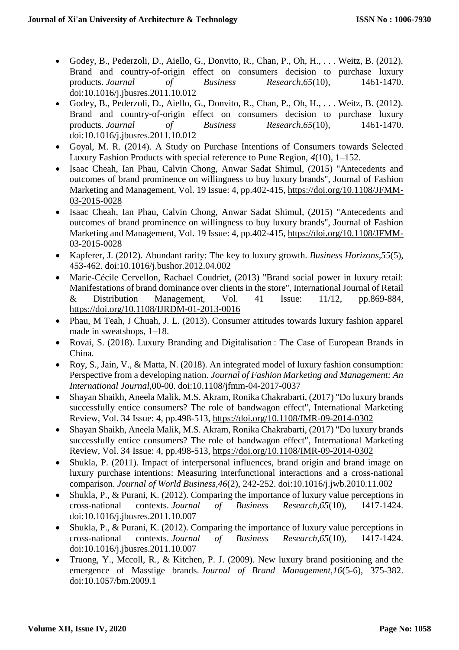- Godey, B., Pederzoli, D., Aiello, G., Donvito, R., Chan, P., Oh, H., . . . Weitz, B. (2012). Brand and country-of-origin effect on consumers decision to purchase luxury products. Journal of Business Research.65(10). 1461-1470. products. *Journal* of Business Research, 65(10), doi:10.1016/j.jbusres.2011.10.012
- Godey, B., Pederzoli, D., Aiello, G., Donvito, R., Chan, P., Oh, H., . . . Weitz, B. (2012). Brand and country-of-origin effect on consumers decision to purchase luxury products. *Journal of Business Research,65*(10), 1461-1470. doi:10.1016/j.jbusres.2011.10.012
- Goyal, M. R. (2014). A Study on Purchase Intentions of Consumers towards Selected Luxury Fashion Products with special reference to Pune Region, *4*(10), 1–152.
- Isaac Cheah, Ian Phau, Calvin Chong, Anwar Sadat Shimul, (2015) "Antecedents and outcomes of brand prominence on willingness to buy luxury brands", Journal of Fashion Marketing and Management, Vol. 19 Issue: 4, pp.402-415, [https://doi.org/10.1108/JFMM-](https://doi.org/10.1108/JFMM-03-2015-0028)[03-2015-0028](https://doi.org/10.1108/JFMM-03-2015-0028)
- Isaac Cheah, Ian Phau, Calvin Chong, Anwar Sadat Shimul, (2015) "Antecedents and outcomes of brand prominence on willingness to buy luxury brands", Journal of Fashion Marketing and Management, Vol. 19 Issue: 4, pp.402-415, [https://doi.org/10.1108/JFMM-](https://doi.org/10.1108/JFMM-03-2015-0028)[03-2015-0028](https://doi.org/10.1108/JFMM-03-2015-0028)
- Kapferer, J. (2012). Abundant rarity: The key to luxury growth. *Business Horizons,55*(5), 453-462. doi:10.1016/j.bushor.2012.04.002
- Marie-Cécile Cervellon, Rachael Coudriet, (2013) "Brand social power in luxury retail: Manifestations of brand dominance over clients in the store", International Journal of Retail & Distribution Management, Vol. 41 Issue: 11/12, pp.869-884, <https://doi.org/10.1108/IJRDM-01-2013-0016>
- Phau, M Teah, J Chuah, J. L. (2013). Consumer attitudes towards luxury fashion apparel made in sweatshops, 1–18.
- Rovai, S. (2018). Luxury Branding and Digitalisation : The Case of European Brands in China.
- Roy, S., Jain, V., & Matta, N. (2018). An integrated model of luxury fashion consumption: Perspective from a developing nation. *Journal of Fashion Marketing and Management: An International Journal,*00-00. doi:10.1108/jfmm-04-2017-0037
- Shayan Shaikh, Aneela Malik, M.S. Akram, Ronika Chakrabarti, (2017) "Do luxury brands successfully entice consumers? The role of bandwagon effect", International Marketing Review, Vol. 34 Issue: 4, pp.498-513,<https://doi.org/10.1108/IMR-09-2014-0302>
- Shayan Shaikh, Aneela Malik, M.S. Akram, Ronika Chakrabarti, (2017) "Do luxury brands successfully entice consumers? The role of bandwagon effect", International Marketing Review, Vol. 34 Issue: 4, pp.498-513,<https://doi.org/10.1108/IMR-09-2014-0302>
- Shukla, P. (2011). Impact of interpersonal influences, brand origin and brand image on luxury purchase intentions: Measuring interfunctional interactions and a cross-national comparison. *Journal of World Business,46*(2), 242-252. doi:10.1016/j.jwb.2010.11.002
- Shukla, P., & Purani, K. (2012). Comparing the importance of luxury value perceptions in cross-national contexts. *Journal of Business Research,65*(10), 1417-1424. doi:10.1016/j.jbusres.2011.10.007
- Shukla, P., & Purani, K. (2012). Comparing the importance of luxury value perceptions in cross-national contexts. *Journal of Business Research,65*(10), 1417-1424. doi:10.1016/j.jbusres.2011.10.007
- Truong, Y., Mccoll, R., & Kitchen, P. J. (2009). New luxury brand positioning and the emergence of Masstige brands. *Journal of Brand Management,16*(5-6), 375-382. doi:10.1057/bm.2009.1